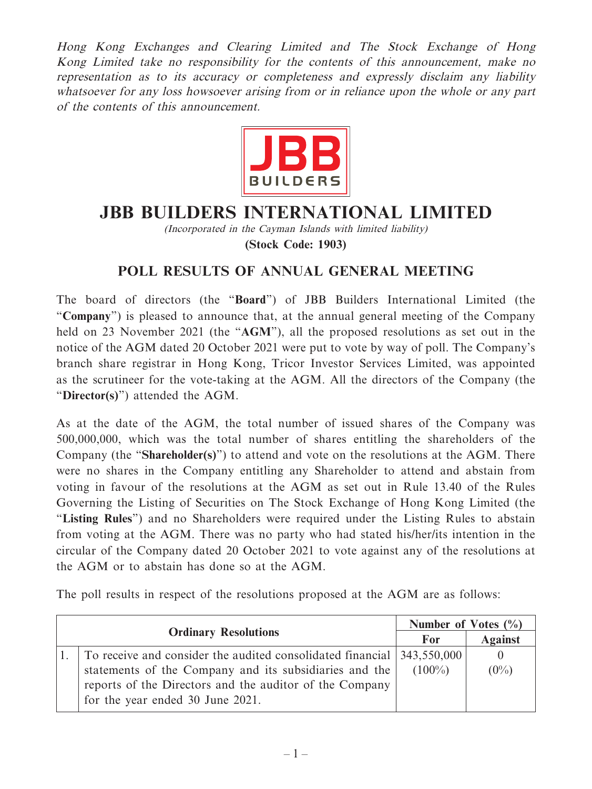Hong Kong Exchanges and Clearing Limited and The Stock Exchange of Hong Kong Limited take no responsibility for the contents of this announcement, make no representation as to its accuracy or completeness and expressly disclaim any liability whatsoever for any loss howsoever arising from or in reliance upon the whole or any part of the contents of this announcement.



## **JBB BUILDERS INTERNATIONAL LIMITED**

(Incorporated in the Cayman Islands with limited liability) **(Stock Code: 1903)**

## **POLL RESULTS OF ANNUAL GENERAL MEETING**

The board of directors (the "**Board**") of JBB Builders International Limited (the "**Company**") is pleased to announce that, at the annual general meeting of the Company held on 23 November 2021 (the "**AGM**"), all the proposed resolutions as set out in the notice of the AGM dated 20 October 2021 were put to vote by way of poll. The Company's branch share registrar in Hong Kong, Tricor Investor Services Limited, was appointed as the scrutineer for the vote-taking at the AGM. All the directors of the Company (the "**Director(s)**") attended the AGM.

As at the date of the AGM, the total number of issued shares of the Company was 500,000,000, which was the total number of shares entitling the shareholders of the Company (the "**Shareholder(s)**") to attend and vote on the resolutions at the AGM. There were no shares in the Company entitling any Shareholder to attend and abstain from voting in favour of the resolutions at the AGM as set out in Rule 13.40 of the Rules Governing the Listing of Securities on The Stock Exchange of Hong Kong Limited (the "**Listing Rules**") and no Shareholders were required under the Listing Rules to abstain from voting at the AGM. There was no party who had stated his/her/its intention in the circular of the Company dated 20 October 2021 to vote against any of the resolutions at the AGM or to abstain has done so at the AGM.

The poll results in respect of the resolutions proposed at the AGM are as follows:

| <b>Ordinary Resolutions</b> |                                                                        | Number of Votes $(\frac{0}{0})$ |                |
|-----------------------------|------------------------------------------------------------------------|---------------------------------|----------------|
|                             |                                                                        | For                             | <b>Against</b> |
|                             | To receive and consider the audited consolidated financial 343,550,000 |                                 |                |
|                             | statements of the Company and its subsidiaries and the                 | $(100\%)$                       | $(0\%)$        |
|                             | reports of the Directors and the auditor of the Company                |                                 |                |
|                             | for the year ended 30 June 2021.                                       |                                 |                |